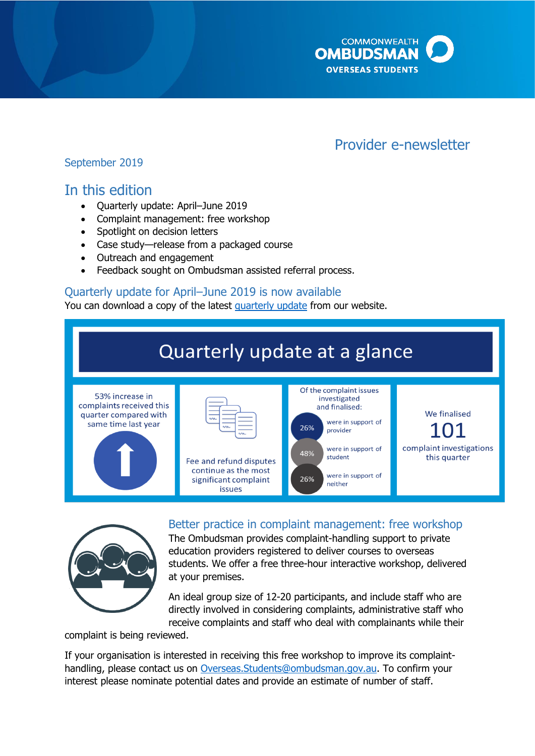

# Provider e-newsletter

## September 2019

# In this edition

- Quarterly update: April–June 2019
- Complaint management: free workshop
- Spotlight on decision letters
- Case study—release from a packaged course
- Outreach and engagement
- Feedback sought on Ombudsman assisted referral process.

### Quarterly update for April–June 2019 is now available

You can download a copy of the latest [quarterly update](http://www.ombudsman.gov.au/publications/industry/oso-quarterly-reports) from our website.





Better practice in complaint management: free workshop The Ombudsman provides complaint-handling support to private education providers registered to deliver courses to overseas

students. We offer a free three-hour interactive workshop, delivered at your premises.

An ideal group size of 12-20 participants, and include staff who are directly involved in considering complaints, administrative staff who receive complaints and staff who deal with complainants while their

complaint is being reviewed.

If your organisation is interested in receiving this free workshop to improve its complainthandling, please contact us on [Overseas.Students@ombudsman.gov.au.](mailto:Overseas.Students@ombudsman.gov.au) To confirm your interest please nominate potential dates and provide an estimate of number of staff.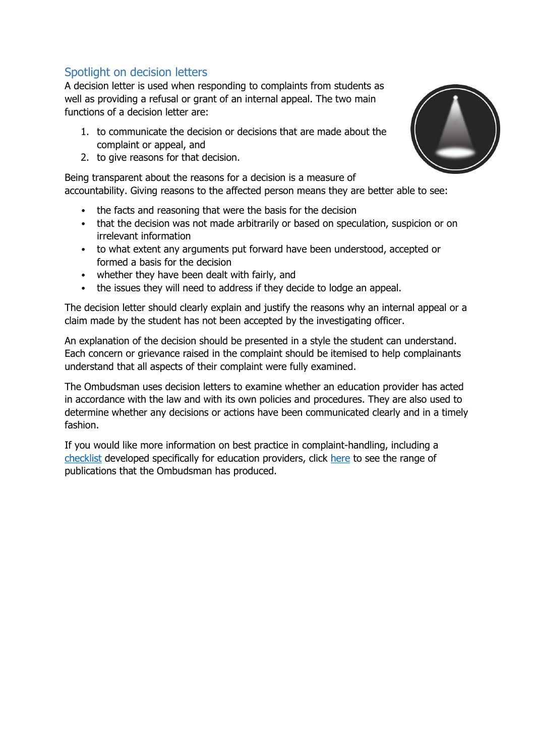# Spotlight on decision letters

A decision letter is used when responding to complaints from students as well as providing a refusal or grant of an internal appeal. The two main functions of a decision letter are:

- 1. to communicate the decision or decisions that are made about the complaint or appeal, and
- 2. to give reasons for that decision.

Being transparent about the reasons for a decision is a measure of accountability. Giving reasons to the affected person means they are better able to see:

- the facts and reasoning that were the basis for the decision
- that the decision was not made arbitrarily or based on speculation, suspicion or on irrelevant information
- to what extent any arguments put forward have been understood, accepted or formed a basis for the decision
- whether they have been dealt with fairly, and
- the issues they will need to address if they decide to lodge an appeal.

The decision letter should clearly explain and justify the reasons why an internal appeal or a claim made by the student has not been accepted by the investigating officer.

An explanation of the decision should be presented in a style the student can understand. Each concern or grievance raised in the complaint should be itemised to help complainants understand that all aspects of their complaint were fully examined.

The Ombudsman uses decision letters to examine whether an education provider has acted in accordance with the law and with its own policies and procedures. They are also used to determine whether any decisions or actions have been communicated clearly and in a timely fashion.

If you would like more information on best practice in complaint-handling, including a [checklist](http://www.ombudsman.gov.au/__data/assets/pdf_file/0026/79424/Better-practice-complaint-handling-for-education-providers.pdf) developed specifically for education providers, click [here](http://www.ombudsman.gov.au/better-practice-guides) to see the range of publications that the Ombudsman has produced.

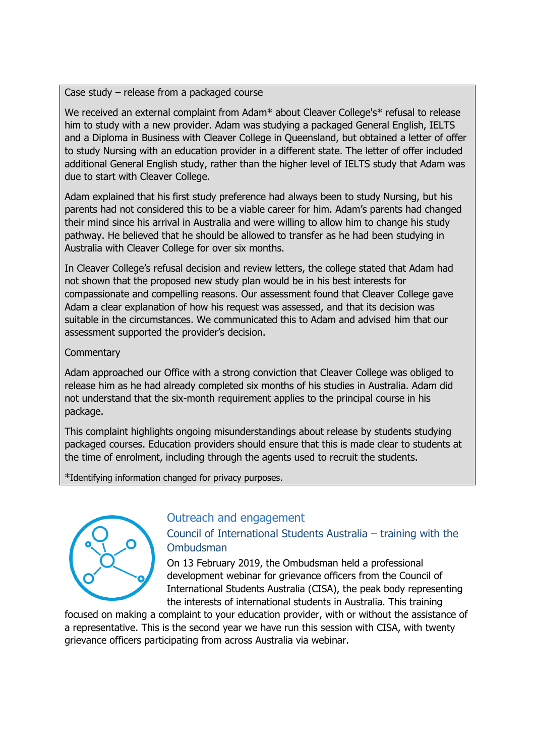Case study – release from a packaged course

We received an external complaint from Adam\* about Cleaver College's\* refusal to release him to study with a new provider. Adam was studying a packaged General English, IELTS and a Diploma in Business with Cleaver College in Queensland, but obtained a letter of offer to study Nursing with an education provider in a different state. The letter of offer included additional General English study, rather than the higher level of IELTS study that Adam was due to start with Cleaver College.

Adam explained that his first study preference had always been to study Nursing, but his parents had not considered this to be a viable career for him. Adam's parents had changed their mind since his arrival in Australia and were willing to allow him to change his study pathway. He believed that he should be allowed to transfer as he had been studying in Australia with Cleaver College for over six months.

In Cleaver College's refusal decision and review letters, the college stated that Adam had not shown that the proposed new study plan would be in his best interests for compassionate and compelling reasons. Our assessment found that Cleaver College gave Adam a clear explanation of how his request was assessed, and that its decision was suitable in the circumstances. We communicated this to Adam and advised him that our assessment supported the provider's decision.

#### **Commentary**

Adam approached our Office with a strong conviction that Cleaver College was obliged to release him as he had already completed six months of his studies in Australia. Adam did not understand that the six-month requirement applies to the principal course in his package.

This complaint highlights ongoing misunderstandings about release by students studying packaged courses. Education providers should ensure that this is made clear to students at the time of enrolment, including through the agents used to recruit the students.

\*Identifying information changed for privacy purposes.



#### Outreach and engagement

#### Council of International Students Australia – training with the Ombudsman

On 13 February 2019, the Ombudsman held a professional development webinar for grievance officers from the Council of International Students Australia (CISA), the peak body representing the interests of international students in Australia. This training

focused on making a complaint to your education provider, with or without the assistance of a representative. This is the second year we have run this session with CISA, with twenty grievance officers participating from across Australia via webinar.